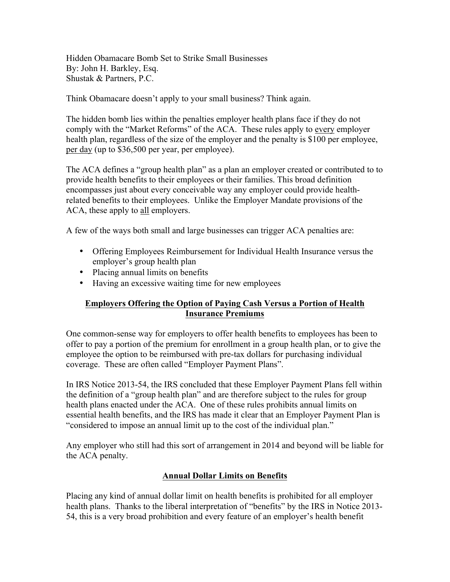Hidden Obamacare Bomb Set to Strike Small Businesses By: John H. Barkley, Esq. Shustak & Partners, P.C.

Think Obamacare doesn't apply to your small business? Think again.

The hidden bomb lies within the penalties employer health plans face if they do not comply with the "Market Reforms" of the ACA. These rules apply to every employer health plan, regardless of the size of the employer and the penalty is \$100 per employee, per day (up to \$36,500 per year, per employee).

The ACA defines a "group health plan" as a plan an employer created or contributed to to provide health benefits to their employees or their families. This broad definition encompasses just about every conceivable way any employer could provide healthrelated benefits to their employees. Unlike the Employer Mandate provisions of the ACA, these apply to all employers.

A few of the ways both small and large businesses can trigger ACA penalties are:

- Offering Employees Reimbursement for Individual Health Insurance versus the employer's group health plan
- Placing annual limits on benefits
- Having an excessive waiting time for new employees

### **Employers Offering the Option of Paying Cash Versus a Portion of Health Insurance Premiums**

One common-sense way for employers to offer health benefits to employees has been to offer to pay a portion of the premium for enrollment in a group health plan, or to give the employee the option to be reimbursed with pre-tax dollars for purchasing individual coverage. These are often called "Employer Payment Plans".

In IRS Notice 2013-54, the IRS concluded that these Employer Payment Plans fell within the definition of a "group health plan" and are therefore subject to the rules for group health plans enacted under the ACA. One of these rules prohibits annual limits on essential health benefits, and the IRS has made it clear that an Employer Payment Plan is "considered to impose an annual limit up to the cost of the individual plan."

Any employer who still had this sort of arrangement in 2014 and beyond will be liable for the ACA penalty.

# **Annual Dollar Limits on Benefits**

Placing any kind of annual dollar limit on health benefits is prohibited for all employer health plans. Thanks to the liberal interpretation of "benefits" by the IRS in Notice 2013- 54, this is a very broad prohibition and every feature of an employer's health benefit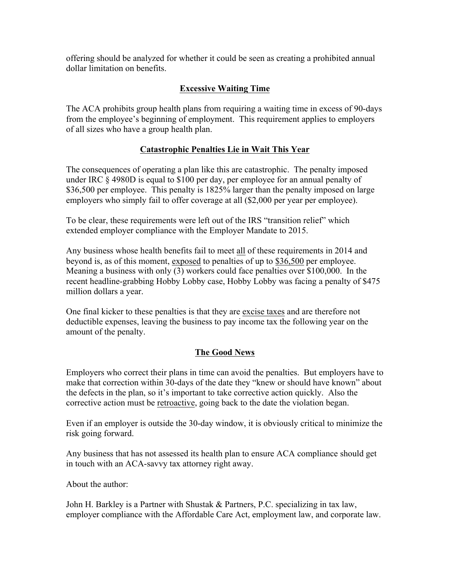offering should be analyzed for whether it could be seen as creating a prohibited annual dollar limitation on benefits.

## **Excessive Waiting Time**

The ACA prohibits group health plans from requiring a waiting time in excess of 90-days from the employee's beginning of employment. This requirement applies to employers of all sizes who have a group health plan.

### **Catastrophic Penalties Lie in Wait This Year**

The consequences of operating a plan like this are catastrophic. The penalty imposed under IRC § 4980D is equal to \$100 per day, per employee for an annual penalty of \$36,500 per employee. This penalty is 1825% larger than the penalty imposed on large employers who simply fail to offer coverage at all (\$2,000 per year per employee).

To be clear, these requirements were left out of the IRS "transition relief" which extended employer compliance with the Employer Mandate to 2015.

Any business whose health benefits fail to meet all of these requirements in 2014 and beyond is, as of this moment, exposed to penalties of up to \$36,500 per employee. Meaning a business with only (3) workers could face penalties over \$100,000. In the recent headline-grabbing Hobby Lobby case, Hobby Lobby was facing a penalty of \$475 million dollars a year.

One final kicker to these penalties is that they are excise taxes and are therefore not deductible expenses, leaving the business to pay income tax the following year on the amount of the penalty.

### **The Good News**

Employers who correct their plans in time can avoid the penalties. But employers have to make that correction within 30-days of the date they "knew or should have known" about the defects in the plan, so it's important to take corrective action quickly. Also the corrective action must be retroactive, going back to the date the violation began.

Even if an employer is outside the 30-day window, it is obviously critical to minimize the risk going forward.

Any business that has not assessed its health plan to ensure ACA compliance should get in touch with an ACA-savvy tax attorney right away.

About the author:

John H. Barkley is a Partner with Shustak & Partners, P.C. specializing in tax law, employer compliance with the Affordable Care Act, employment law, and corporate law.